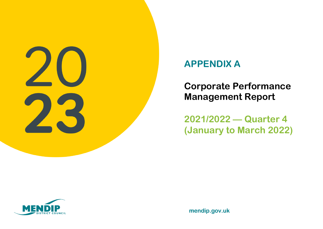

## **APPENDIX A**

**Corporate Performance Management Report**

**2021/2022 — Quarter 4 (January to March 2022)**



**mendip.gov.uk**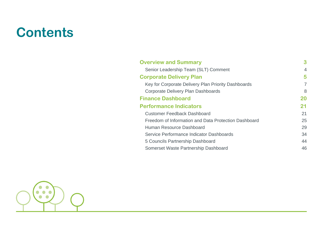## **Contents**

| <b>Overview and Summary</b>                          | 3  |
|------------------------------------------------------|----|
| Senior Leadership Team (SLT) Comment                 | 4  |
| <b>Corporate Delivery Plan</b>                       | 5  |
| Key for Corporate Delivery Plan Priority Dashboards  | 7  |
| Corporate Delivery Plan Dashboards                   | 8  |
| <b>Finance Dashboard</b>                             | 20 |
| <b>Performance Indicators</b>                        | 21 |
| <b>Customer Feedback Dashboard</b>                   | 21 |
| Freedom of Information and Data Protection Dashboard | 25 |
| Human Resource Dashboard                             | 29 |
| Service Performance Indicator Dashboards             | 34 |
| 5 Councils Partnership Dashboard                     | 44 |
| Somerset Waste Partnership Dashboard                 | 46 |

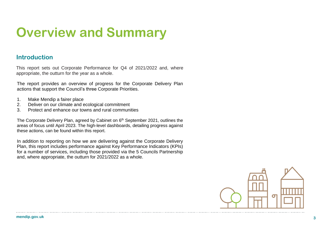# **Overview and Summary**

### **Introduction**

This report sets out Corporate Performance for Q4 of 2021/2022 and, where appropriate, the outturn for the year as a whole.

The report provides an overview of progress for the Corporate Delivery Plan actions that support the Council's three Corporate Priorities.

- 1. Make Mendip a fairer place<br>2. Deliver on our climate and e
- 2. Deliver on our climate and ecological commitment
- 3. Protect and enhance our towns and rural communities

The Corporate Delivery Plan, agreed by Cabinet on 6<sup>th</sup> September 2021, outlines the areas of focus until April 2023. The high-level dashboards, detailing progress against these actions, can be found within this report.

In addition to reporting on how we are delivering against the Corporate Delivery Plan, this report includes performance against Key Performance Indicators (KPIs) for a number of services, including those provided via the 5 Councils Partnership and, where appropriate, the outturn for 2021/2022 as a whole.

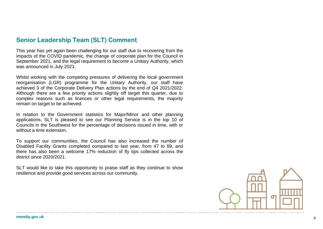### **Senior Leadership Team (SLT) Comment**

This year has yet again been challenging for our staff due to recovering from the impacts of the COVID pandemic, the change of corporate plan for the Council in September 2021, and the legal requirement to become a Unitary Authority, which was announced in July 2021.

Whilst working with the competing pressures of delivering the local government reorganisation (LGR) programme for the Unitary Authority, our staff have achieved 3 of the Corporate Delivery Plan actions by the end of Q4 2021/2022. Although there are a few priority actions slightly off target this quarter, due to complex reasons such as licences or other legal requirements, the majority remain on target to be achieved.

In relation to the Government statistics for Major/Minor and other planning applications, SLT is pleased to see our Planning Service is in the top 10 of Councils in the Southwest for the percentage of decisions issued in time, with or without a time extension.

To support our communities, the Council has also increased the number of Disabled Facility Grants completed compared to last year, from 47 to 69, and there has also been a welcome 17% reduction of fly tips collected across the district since 2020/2021.

SLT would like to take this opportunity to praise staff as they continue to show resilience and provide good services across our community.

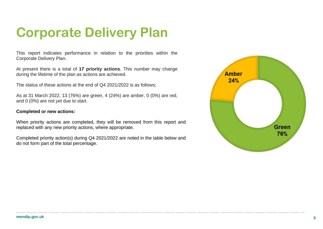# **Corporate Delivery Plan**

This report indicates performance in relation to the priorities within the Corporate Delivery Plan.

At present there is a total of **17 priority actions**. This number may change during the lifetime of the plan as actions are achieved.

The status of these actions at the end of Q4 2021/2022 is as follows;

As at 31 March 2022, 13 (76%) are green, 4 (24%) are amber, 0 (0%) are red, and 0 (0%) are not yet due to start.

#### **Completed or new actions:**

When priority actions are completed, they will be removed from this report and replaced with any new priority actions, where appropriate.

Completed priority action(s) during Q4 2021/2022 are noted in the table below and do not form part of the total percentage.

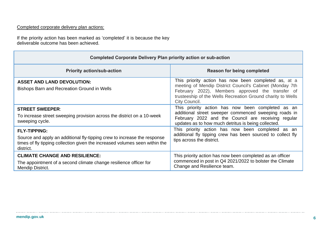### Completed corporate delivery plan actions:

If the priority action has been marked as 'completed' it is because the key deliverable outcome has been achieved.

| <b>Completed Corporate Delivery Plan priority action or sub-action</b>                                                                                                                      |                                                                                                                                                                                                                                                      |  |  |  |  |  |
|---------------------------------------------------------------------------------------------------------------------------------------------------------------------------------------------|------------------------------------------------------------------------------------------------------------------------------------------------------------------------------------------------------------------------------------------------------|--|--|--|--|--|
| <b>Priority action/sub-action</b>                                                                                                                                                           | <b>Reason for being completed</b>                                                                                                                                                                                                                    |  |  |  |  |  |
| <b>ASSET AND LAND DEVOLUTION:</b><br><b>Bishops Barn and Recreation Ground in Wells</b>                                                                                                     | This priority action has now been completed as, at a<br>meeting of Mendip District Council's Cabinet (Monday 7th<br>February 2022), Members approved the transfer of<br>trusteeship of the Wells Recreation Ground charity to Wells<br>City Council. |  |  |  |  |  |
| <b>STREET SWEEPER:</b><br>To increase street sweeping provision across the district on a 10-week<br>sweeping cycle.                                                                         | This priority action has now been completed as an<br>additional street sweeper commenced sweeping roads in<br>February 2022 and the Council are receiving regular<br>updates as to how much detritus is being collected.                             |  |  |  |  |  |
| <b>FLY-TIPPING:</b><br>Source and apply an additional fly-tipping crew to increase the response<br>times of fly tipping collection given the increased volumes seen within the<br>district. | This priority action has now been completed as an<br>additional fly tipping crew has been sourced to collect fly<br>tips across the district.                                                                                                        |  |  |  |  |  |
| <b>CLIMATE CHANGE AND RESILIENCE:</b><br>The appointment of a second climate change resilience officer for<br>Mendip District.                                                              | This priority action has now been completed as an officer<br>commenced in post in Q4 2021/2022 to bolster the Climate<br>Change and Resilience team.                                                                                                 |  |  |  |  |  |

 $\cdots$ 

. . . . . . . . . . . . . . . . .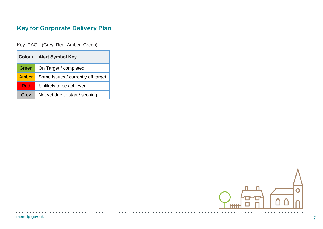## **Key for Corporate Delivery Plan**

Key: RAG (Grey, Red, Amber, Green)

| <b>Colour</b> | <b>Alert Symbol Key</b>            |
|---------------|------------------------------------|
| Green         | On Target / completed              |
| <b>Amber</b>  | Some Issues / currently off target |
| Red           | Unlikely to be achieved            |
| Grey          | Not yet due to start / scoping     |



 $\cdots$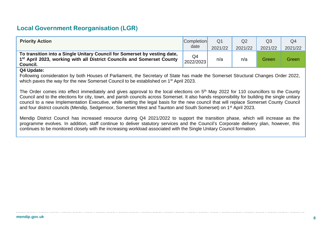## **Local Government Reorganisation (LGR)**

| <b>Priority Action</b>                                                                                                                                                      | <b>Completion</b> | Q <sub>1</sub> | Q2      | Q3      | Q <sub>4</sub> |
|-----------------------------------------------------------------------------------------------------------------------------------------------------------------------------|-------------------|----------------|---------|---------|----------------|
|                                                                                                                                                                             | date              | 2021/22        | 2021/22 | 2021/22 | 2021/22        |
| To transition into a Single Unitary Council for Somerset by vesting date,<br>1 <sup>st</sup> April 2023, working with all District Councils and Somerset County<br>Council. | Q4<br>2022/2023   | n/a            | n/a     | Green   | Green          |

### **Q4 Update:**

Following consideration by both Houses of Parliament, the Secretary of State has made the Somerset Structural Changes Order 2022, which paves the way for the new Somerset Council to be established on 1<sup>st</sup> April 2023.

The Order comes into effect immediately and gives approval to the local elections on 5<sup>th</sup> May 2022 for 110 councillors to the County Council and to the elections for city, town, and parish councils across Somerset. It also hands responsibility for building the single unitary council to a new Implementation Executive, while setting the legal basis for the new council that will replace Somerset County Council and four district councils (Mendip, Sedgemoor, Somerset West and Taunton and South Somerset) on 1<sup>st</sup> April 2023.

Mendip District Council has increased resource during Q4 2021/2022 to support the transition phase, which will increase as the programme evolves. In addition, staff continue to deliver statutory services and the Council's Corporate delivery plan, however, this continues to be monitored closely with the increasing workload associated with the Single Unitary Council formation.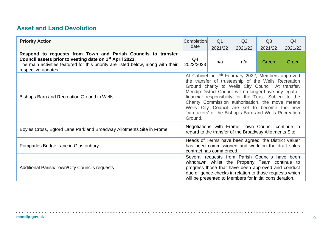## **Asset and Land Devolution**

| <b>Priority Action</b>                                                                                                                                                                                                                           | <b>Completion</b><br>date                                                                                                                                                                                                                                                                                                                                                                                                                                                 | Q <sub>1</sub><br>2021/22 | Q2<br>2021/22 | Q <sub>3</sub><br>2021/22 | Q <sub>4</sub><br>2021/22 |  |  |
|--------------------------------------------------------------------------------------------------------------------------------------------------------------------------------------------------------------------------------------------------|---------------------------------------------------------------------------------------------------------------------------------------------------------------------------------------------------------------------------------------------------------------------------------------------------------------------------------------------------------------------------------------------------------------------------------------------------------------------------|---------------------------|---------------|---------------------------|---------------------------|--|--|
| Respond to requests from Town and Parish Councils to transfer<br>Council assets prior to vesting date on 1 <sup>st</sup> April 2023.<br>The main activities featured for this priority are listed below, along with their<br>respective updates. | Q4<br>2022/2023                                                                                                                                                                                                                                                                                                                                                                                                                                                           | n/a                       | n/a           | Green                     | Green                     |  |  |
| Bishops Barn and Recreation Ground in Wells                                                                                                                                                                                                      | At Cabinet on 7 <sup>th</sup> February 2022, Members approved<br>the transfer of trusteeship of the Wells Recreation<br>Ground charity to Wells City Council. At transfer,<br>Mendip District Council will no longer have any legal or<br>financial responsibility for the Trust. Subject to the<br>Charity Commission authorisation, the move means<br>Wells City Council are set to become the new<br>'caretakers' of the Bishop's Barn and Wells Recreation<br>Ground. |                           |               |                           |                           |  |  |
| Boyles Cross, Egford Lane Park and Broadway Allotments Site in Frome                                                                                                                                                                             | Negotiations with Frome Town Council continue in<br>regard to the transfer of the Broadway Allotments Site.                                                                                                                                                                                                                                                                                                                                                               |                           |               |                           |                           |  |  |
| Pomparles Bridge Lane in Glastonbury                                                                                                                                                                                                             | Heads of Terms have been agreed, the District Valuer<br>has been commissioned and work on the draft sales<br>contract has commenced.                                                                                                                                                                                                                                                                                                                                      |                           |               |                           |                           |  |  |
| Additional Parish/Town/City Councils requests                                                                                                                                                                                                    | Several requests from Parish Councils have been<br>withdrawn whilst the Property Team continue to<br>progress those that have been approved and conduct<br>due diligence checks in relation to those requests which<br>will be presented to Members for initial consideration.                                                                                                                                                                                            |                           |               |                           |                           |  |  |

. . . . . . . . . . . .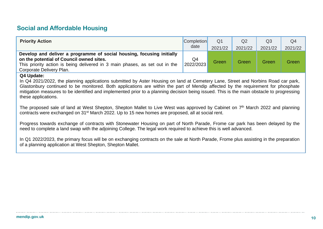## **Social and Affordable Housing**

| <b>Priority Action</b>                                                                                                                                                                                                       | <b>Completion</b> | Q <sub>1</sub> | Q2      | Q <sub>3</sub> | Q <sub>4</sub> |
|------------------------------------------------------------------------------------------------------------------------------------------------------------------------------------------------------------------------------|-------------------|----------------|---------|----------------|----------------|
|                                                                                                                                                                                                                              | date              | 2021/22        | 2021/22 | 2021/22        | 2021/22        |
| Develop and deliver a programme of social housing, focusing initially<br>on the potential of Council owned sites.<br>This priority action is being delivered in 3 main phases, as set out in the<br>Corporate Delivery Plan. | Q4<br>2022/2023   | Green          | Green   | Green          | Green          |

#### **Q4 Update:**

In Q4 2021/2022, the planning applications submitted by Aster Housing on land at Cemetery Lane, Street and Norbins Road car park, Glastonbury continued to be monitored. Both applications are within the part of Mendip affected by the requirement for phosphate mitigation measures to be identified and implemented prior to a planning decision being issued. This is the main obstacle to progressing these applications.

The proposed sale of land at West Shepton, Shepton Mallet to Live West was approved by Cabinet on 7<sup>th</sup> March 2022 and planning contracts were exchanged on 31st March 2022. Up to 15 new homes are proposed, all at social rent.

Progress towards exchange of contracts with Stonewater Housing on part of North Parade, Frome car park has been delayed by the need to complete a land swap with the adjoining College. The legal work required to achieve this is well advanced.

In Q1 2022/2023, the primary focus will be on exchanging contracts on the sale at North Parade, Frome plus assisting in the preparation of a planning application at West Shepton, Shepton Mallet.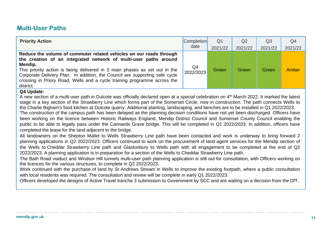## **Multi-User Paths**

| <b>Priority Action</b>                                                                                                                                                                                                                                                                                                                                                                                   | <b>Completion</b> | Q <sub>1</sub> | Q <sub>2</sub> | Q <sub>3</sub> | Q <sub>4</sub> |
|----------------------------------------------------------------------------------------------------------------------------------------------------------------------------------------------------------------------------------------------------------------------------------------------------------------------------------------------------------------------------------------------------------|-------------------|----------------|----------------|----------------|----------------|
|                                                                                                                                                                                                                                                                                                                                                                                                          | date              | 2021/22        | 2021/22        | 2021/22        | 2021/22        |
| Reduce the volume of commuter related vehicles on our roads through<br>the creation of an integrated network of multi-user paths around<br>Mendip.<br>This priority action is being delivered in 3 main phases as set out in the<br>Corporate Delivery Plan. In addition, the Council are supporting safe cycle<br>crossing in Priory Road, Wells and a cycle training programme across the<br>district. | Q4<br>2022/2023   | Green          | Green          | Green          | Amber          |
| -----                                                                                                                                                                                                                                                                                                                                                                                                    |                   |                |                |                |                |

### **Q4 Update:**

A new section of a multi-user path in Dulcote was officially declared open at a special celebration on 4 th March 2022. It marked the latest stage in a key section of the Strawberry Line which forms part of the Somerset Circle, now in construction. The path connects Wells to the Charlie Bigham's food kitchen at Dulcote quarry. Additional planting, landscaping, and benches are to be installed in Q1 2022/2023.

The construction of the campus path has been delayed as the planning decision conditions have not yet been discharged. Officers have been working on the licence between Historic Railways England, Mendip District Council and Somerset County Council enabling the public to be able to legally pass under the Cannards Grave bridge. This will be completed in Q1 2022/2023. In addition, officers have completed the lease for the land adjacent to the bridge.

All landowners on the Shepton Mallet to Wells Strawberry Line path have been contacted and work is underway to bring forward 2 planning applications in Q2 2022/2023. Officers continued to work on the procurement of land agent services for the Mendip section of the Wells to Cheddar Strawberry Line path and Glastonbury to Wells path with all engagement to be completed at the end of Q2 2022/2023. A planning application is in preparation for a section of the Wells to Cheddar Strawberry Line path.

The Bath Road viaduct and Windsor Hill tunnels multi-user path planning application is still out for consultation, with Officers working on the licences for the various structures, to complete in Q2 2022/2023.

Work continued with the purchase of land by St Andrews Stream in Wells to improve the existing footpath, where a public consultation with local residents was required. The consultation and review will be complete in early Q1 2022/2023.

Officers developed the designs of Active Travel tranche 3 submission to Government by SCC and are waiting on a decision from the DfT.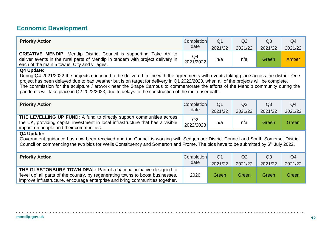## **Economic Development**

| <b>Priority Action</b>                                                                                                                                                                                                                                                                                                                                                                                                                                                                                                                   | <b>Completion</b><br>date   | Q <sub>1</sub><br>2021/22 | Q2<br>2021/22 | Q <sub>3</sub><br>2021/22 | Q <sub>4</sub><br>2021/22 |  |  |
|------------------------------------------------------------------------------------------------------------------------------------------------------------------------------------------------------------------------------------------------------------------------------------------------------------------------------------------------------------------------------------------------------------------------------------------------------------------------------------------------------------------------------------------|-----------------------------|---------------------------|---------------|---------------------------|---------------------------|--|--|
| <b>CREATIVE MENDIP:</b> Mendip District Council is supporting Take Art to<br>deliver events in the rural parts of Mendip in tandem with project delivery in<br>each of the main 5 towns, City and villages.                                                                                                                                                                                                                                                                                                                              | Q <sub>4</sub><br>2021/2022 | n/a                       | n/a           | Green                     | Amber                     |  |  |
| Q4 Update:<br>During Q4 2021/2022 the projects continued to be delivered in line with the agreements with events taking place across the district. One<br>project has been delayed due to bad weather but is on target for delivery in Q1 2022/2023, when all of the projects will be complete.<br>The commission for the sculpture / artwork near the Shape Campus to commemorate the efforts of the Mendip community during the<br>pandemic will take place in Q2 2022/2023, due to delays to the construction of the multi-user path. |                             |                           |               |                           |                           |  |  |
| <b>Priority Action</b>                                                                                                                                                                                                                                                                                                                                                                                                                                                                                                                   | <b>Completion</b><br>date   | Q <sub>1</sub><br>2021/22 | Q2<br>2021/22 | Q <sub>3</sub><br>2021/22 | Q <sub>4</sub><br>2021/22 |  |  |
| THE LEVELLING UP FUND: A fund to directly support communities across<br>the UK, providing capital investment in local infrastructure that has a visible<br>impact on people and their communities.                                                                                                                                                                                                                                                                                                                                       | Q2<br>2022/2023             | n/a                       | n/a           | Green                     | Green                     |  |  |
| Q4 Update:<br>Government guidance has now been received and the Council is working with Sedgemoor District Council and South Somerset District<br>Council on commencing the two bids for Wells Constituency and Somerton and Frome. The bids have to be submitted by 6 <sup>th</sup> July 2022.                                                                                                                                                                                                                                          |                             |                           |               |                           |                           |  |  |
| <b>Priority Action</b>                                                                                                                                                                                                                                                                                                                                                                                                                                                                                                                   | <b>Completion</b><br>date   | Q <sub>1</sub><br>2021/22 | Q2<br>2021/22 | Q3<br>2021/22             | Q <sub>4</sub><br>2021/22 |  |  |
| <b>THE GLASTONBURY TOWN DEAL:</b> Part of a national initiative designed to<br>'level up' all parts of the country, by regenerating towns to boost businesses,<br>improve infrastructure, encourage enterprise and bring communities together.                                                                                                                                                                                                                                                                                           | 2026                        | Green                     | Green         | Green                     | Green                     |  |  |

. . . . . . . . . . .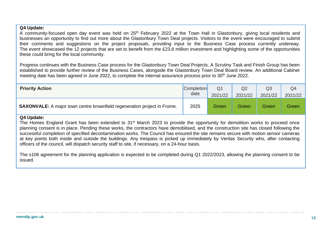### **Q4 Update:**

A community-focused open day event was held on 25<sup>th</sup> February 2022 at the Town Hall in Glastonbury, giving local residents and businesses an opportunity to find out more about the Glastonbury Town Deal projects. Visitors to the event were encouraged to submit their comments and suggestions on the project proposals, providing input to the Business Case process currently underway. The event showcased the 12 projects that are set to benefit from the £23.6 million investment and highlighting some of the opportunities these could bring for the local community.

Progress continues with the Business Case process for the Glastonbury Town Deal Projects. A Scrutiny Task and Finish Group has been established to provide further review of the Business Cases, alongside the Glastonbury Town Deal Board review. An additional Cabinet meeting date has been agreed in June 2022, to complete the internal assurance process prior to 30<sup>th</sup> June 2022.

| <b>Priority Action</b>                                                          | <b>Completion</b> | Q <sub>1</sub> | Q2      | Q3      | Q <sub>4</sub> |
|---------------------------------------------------------------------------------|-------------------|----------------|---------|---------|----------------|
|                                                                                 | date              | 2021/22        | 2021/22 | 2021/22 | 2021/22        |
| <b>SAXONVALE:</b> A major town centre brownfield regeneration project in Frome. | 2025              | Green          | Green   | Green   | Green          |

#### **Q4 Update:**

The Homes England Grant has been extended to 31<sup>st</sup> March 2023 to provide the opportunity for demolition works to proceed once planning consent is in place. Pending these works, the contractors have demobilised, and the construction site has closed following the successful completion of specified decontamination works. The Council has ensured the site remains secure with motion sensor cameras at key points both inside and outside the buildings. Any trespass is picked up immediately by Veritas Security who, after contacting officers of the council, will dispatch security staff to site, if necessary, on a 24-hour basis.

The s106 agreement for the planning application is expected to be completed during Q1 2022/2023, allowing the planning consent to be issued.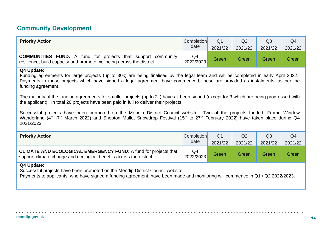## **Community Development**

| <b>Priority Action</b>                                                                                                                                                                                                                                                                                                                                                                                                                                                                                                                                                                                                                                                                                                                                                                                                                                                  | <b>Completion</b><br>date   | Q <sub>1</sub>            | Q <sub>2</sub> | Q <sub>3</sub>            | Q4                        |  |
|-------------------------------------------------------------------------------------------------------------------------------------------------------------------------------------------------------------------------------------------------------------------------------------------------------------------------------------------------------------------------------------------------------------------------------------------------------------------------------------------------------------------------------------------------------------------------------------------------------------------------------------------------------------------------------------------------------------------------------------------------------------------------------------------------------------------------------------------------------------------------|-----------------------------|---------------------------|----------------|---------------------------|---------------------------|--|
|                                                                                                                                                                                                                                                                                                                                                                                                                                                                                                                                                                                                                                                                                                                                                                                                                                                                         |                             | 2021/22                   | 2021/22        | 2021/22                   | 2021/22                   |  |
| <b>COMMUNITIES FUND:</b> A fund for projects that support community<br>resilience, build capacity and promote wellbeing across the district.                                                                                                                                                                                                                                                                                                                                                                                                                                                                                                                                                                                                                                                                                                                            | Q <sub>4</sub><br>2022/2023 | Green                     | Green          | Green                     | Green                     |  |
| Q4 Update:<br>Funding agreements for large projects (up to 30k) are being finalised by the legal team and will be completed in early April 2022.<br>Payments to those projects which have signed a legal agreement have commenced; these are provided as instalments, as per the<br>funding agreement.<br>The majority of the funding agreements for smaller projects (up to 2k) have all been signed (except for 3 which are being progressed with<br>the applicant). In total 20 projects have been paid in full to deliver their projects.<br>Successful projects have been promoted on the Mendip District Council website. Two of the projects funded, Frome Window<br>Wanderland (4 <sup>th</sup> -7 <sup>th</sup> March 2022) and Shepton Mallet Snowdrop Festival (15 <sup>th</sup> to 27 <sup>th</sup> February 2022) have taken place during Q4<br>2021/2022. |                             |                           |                |                           |                           |  |
| <b>Priority Action</b>                                                                                                                                                                                                                                                                                                                                                                                                                                                                                                                                                                                                                                                                                                                                                                                                                                                  | <b>Completion</b><br>date   | Q <sub>1</sub><br>2021/22 | Q2<br>2021/22  | Q <sub>3</sub><br>2021/22 | Q <sub>4</sub><br>2021/22 |  |
| <b>CLIMATE AND ECOLOGICAL EMERGENCY FUND:</b> A fund for projects that<br>support climate change and ecological benefits across the district.                                                                                                                                                                                                                                                                                                                                                                                                                                                                                                                                                                                                                                                                                                                           | Q <sub>4</sub><br>2022/2023 | Green                     | Green          | Green                     | Green                     |  |
| Q4 Update:<br>Successful projects have been promoted on the Mendip District Council website.<br>Payments to applicants, who have signed a funding agreement, have been made and monitoring will commence in Q1 / Q2 2022/2023.                                                                                                                                                                                                                                                                                                                                                                                                                                                                                                                                                                                                                                          |                             |                           |                |                           |                           |  |

. . . . . . . . . . . .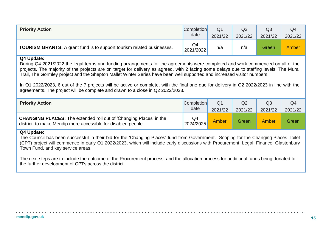| <b>Priority Action</b>                                                        | <b>Completion</b> | Q <sub>1</sub> | Q <sub>2</sub> | Q3      | Q <sub>4</sub> |
|-------------------------------------------------------------------------------|-------------------|----------------|----------------|---------|----------------|
|                                                                               | date              | 2021/22        | 2021/22        | 2021/22 | 2021/22        |
| <b>TOURISM GRANTS:</b> A grant fund is to support tourism related businesses. | Q4<br>2021/2022   | n/a            | n/a            | Green   | <b>Amber</b>   |

### **Q4 Update:**

During Q4 2021/2022 the legal terms and funding arrangements for the agreements were completed and work commenced on all of the projects. The majority of the projects are on target for delivery as agreed, with 2 facing some delays due to staffing levels. The Mural Trail, The Gormley project and the Shepton Mallet Winter Series have been well supported and increased visitor numbers.

In Q1 2022/2023, 6 out of the 7 projects will be active or complete, with the final one due for delivery in Q2 2022/2023 in line with the agreements. The project will be complete and drawn to a close in Q2 2022/2023.

| <b>Priority Action</b>                                                                                                                     | <b>Completion</b> | Q <sub>1</sub> | Q2      | Q <sub>3</sub> | Q <sub>4</sub> |
|--------------------------------------------------------------------------------------------------------------------------------------------|-------------------|----------------|---------|----------------|----------------|
|                                                                                                                                            | date              | 2021/22        | 2021/22 | 2021/22        | 2021/22        |
| <b>CHANGING PLACES:</b> The extended roll out of 'Changing Places' in the<br>district, to make Mendip more accessible for disabled people. | Q4<br>2024/2025   | <b>Amber</b>   | Green   | <b>Amber</b>   | <b>Green</b>   |

### **Q4 Update:**

The Council has been successful in their bid for the 'Changing Places' fund from Government. Scoping for the Changing Places Toilet (CPT) project will commence in early Q1 2022/2023, which will include early discussions with Procurement, Legal, Finance, Glastonbury Town Fund, and key service areas.

The next steps are to include the outcome of the Procurement process, and the allocation process for additional funds being donated for the further development of CPTs across the district.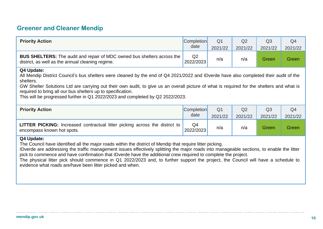## **Greener and Cleaner Mendip**

| <b>Priority Action</b>                                                                                                                                                                                                                                                                                                                                                                                                                                                                                                                                                                                            | <b>Completion</b><br>date   | Q <sub>1</sub><br>2021/22 | Q2<br>2021/22             | Q <sub>3</sub><br>2021/22 | Q <sub>4</sub><br>2021/22 |  |  |  |  |
|-------------------------------------------------------------------------------------------------------------------------------------------------------------------------------------------------------------------------------------------------------------------------------------------------------------------------------------------------------------------------------------------------------------------------------------------------------------------------------------------------------------------------------------------------------------------------------------------------------------------|-----------------------------|---------------------------|---------------------------|---------------------------|---------------------------|--|--|--|--|
| <b>BUS SHELTERS:</b> The audit and repair of MDC owned bus shelters across the<br>district, as well as the annual cleaning regime.                                                                                                                                                                                                                                                                                                                                                                                                                                                                                | Q <sub>2</sub><br>2022/2023 | n/a                       | n/a                       | Green                     | Green                     |  |  |  |  |
| Q4 Update:<br>All Mendip District Council's bus shelters were cleaned by the end of Q4 2021/2022 and IDverde have also completed their audit of the<br>shelters.<br>GW Shelter Solutions Ltd are carrying out their own audit, to give us an overall picture of what is required for the shelters and what is<br>required to bring all our bus shelters up to specification.<br>This will be progressed further in Q1 2022/2023 and completed by Q2 2022/2023.                                                                                                                                                    |                             |                           |                           |                           |                           |  |  |  |  |
| <b>Priority Action</b>                                                                                                                                                                                                                                                                                                                                                                                                                                                                                                                                                                                            | <b>Completion</b><br>date   | Q <sub>1</sub><br>2021/22 | Q <sub>2</sub><br>2021/22 | Q <sub>3</sub><br>2021/22 | Q <sub>4</sub><br>2021/22 |  |  |  |  |
| <b>LITTER PICKING:</b> Increased contractual litter picking across the district to<br>encompass known hot spots.                                                                                                                                                                                                                                                                                                                                                                                                                                                                                                  | Q4<br>2022/2023             | n/a                       | n/a                       | Green                     | Green                     |  |  |  |  |
| Q4 Update:<br>The Council have identified all the major roads within the district of Mendip that require litter picking.<br>IDverde are addressing the traffic management issues effectively splitting the major roads into manageable sections, to enable the litter<br>pick to commence and have confirmation that IDverde have the additional crew required to complete the project.<br>The physical litter pick should commence in Q1 2022/2023 and, to further support the project, the Council will have a schedule to<br>المتحارب المستحار وبالمؤمن وتملؤوا المتحاميات والمحارب والمحارب والمتحارب المحارب |                             |                           |                           |                           |                           |  |  |  |  |

evidence what roads are/have been litter picked and when.

 $\ldots$  .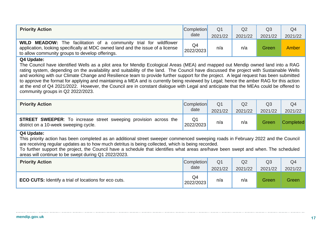| <b>Priority Action</b>                                                                                                                                                                                                                                                                                                                                                                                                                                                                                                                                                                                                                                                                                                                                     | <b>Completion</b><br>date | Q1<br>2021/22 | Q <sub>2</sub><br>2021/22 | Q <sub>3</sub><br>2021/22 | Q4<br>2021/22 |
|------------------------------------------------------------------------------------------------------------------------------------------------------------------------------------------------------------------------------------------------------------------------------------------------------------------------------------------------------------------------------------------------------------------------------------------------------------------------------------------------------------------------------------------------------------------------------------------------------------------------------------------------------------------------------------------------------------------------------------------------------------|---------------------------|---------------|---------------------------|---------------------------|---------------|
| <b>WILD MEADOW:</b> The facilitation of a community trial for wildflower<br>application, looking specifically at MDC owned land and the issue of a license<br>to allow community groups to develop offerings.                                                                                                                                                                                                                                                                                                                                                                                                                                                                                                                                              | Q4<br>2022/2023           | n/a           | n/a                       | Green                     | Amber         |
| Q4 Update:<br>The Council have identified Wells as a pilot area for Mendip Ecological Areas (MEA) and mapped out Mendip owned land into a RAG<br>rating system, depending on the availability and suitability of the land. The Council have discussed the project with Sustainable Wells<br>and working with our Climate Change and Resilience team to provide further support for the project. A legal request has been submitted<br>to approve the format for applying and maintaining a MEA and is currently being reviewed by Legal; hence the amber RAG for this action<br>at the end of Q4 2021/2022. However, the Council are in constant dialogue with Legal and anticipate that the MEAs could be offered to<br>community groups in Q2 2022/2023. |                           |               |                           |                           |               |

| <b>Priority Action</b>                                                                                                                                                                                                                                                                                                                                                                                                                              | <b>Completion</b><br>date | Q <sub>1</sub><br>2021/22 | Q2<br>2021/22  | Q3<br>2021/22 | Q4<br>2021/22    |
|-----------------------------------------------------------------------------------------------------------------------------------------------------------------------------------------------------------------------------------------------------------------------------------------------------------------------------------------------------------------------------------------------------------------------------------------------------|---------------------------|---------------------------|----------------|---------------|------------------|
| <b>STREET SWEEPER:</b> To increase street sweeping provision across the<br>district on a 10-week sweeping cycle.                                                                                                                                                                                                                                                                                                                                    | Q1<br>2022/2023           | n/a                       | n/a            | Green         | <b>Completed</b> |
| Q4 Update:<br>This priority action has been completed as an additional street sweeper commenced sweeping roads in February 2022 and the Council<br>are receiving regular updates as to how much detritus is being collected, which is being recorded.<br>To further support the project, the Council have a schedule that identifies what areas are/have been swept and when. The scheduled<br>areas will continue to be swept during Q1 2022/2023. |                           |                           |                |               |                  |
| <b>Priority Action</b>                                                                                                                                                                                                                                                                                                                                                                                                                              | <b>Completion</b>         | Q <sub>1</sub>            | Q <sub>2</sub> | Q3            | Q4               |

| <b>Priority Action</b>                                       | <b>ICOMPIETION</b> | Q1      | QZ      | Q3      | Q4           |
|--------------------------------------------------------------|--------------------|---------|---------|---------|--------------|
|                                                              | date               | 2021/22 | 2021/22 | 2021/22 | 2021/22      |
| <b>ECO CUTS:</b> Identify a trial of locations for eco cuts. | Q4<br>2022/2023    | n/a     | n/a     | Green   | <b>Green</b> |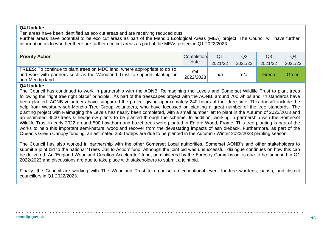### **Q4 Update:**

Ten areas have been identified as eco cut areas and are receiving reduced cuts.

Further areas have potential to be eco cut areas as part of the Mendip Ecological Areas (MEA) project. The Council will have further information as to whether there are further eco cut areas as part of the MEAs project in Q1 2022/2023.

| <b>Priority Action</b>                                                                                                                                                            | <b>Completion</b> | Q <sub>1</sub> | Q2      | Q <sub>3</sub> | Q4      |
|-----------------------------------------------------------------------------------------------------------------------------------------------------------------------------------|-------------------|----------------|---------|----------------|---------|
|                                                                                                                                                                                   | date              | 2021/22        | 2021/22 | 2021/22        | 2021/22 |
| <b>TREES:</b> To continue to plant trees on MDC land, where appropriate to do so,<br>and work with partners such as the Woodland Trust to support planting on<br>non-Mendip land. | Q4<br>2022/2023   | n/a            | n/a     | Green          | Green   |

### **Q4 Update:**

The Council has continued to work in partnership with the AONB, Reimagining the Levels and Somerset Wildlife Trust to plant trees following the "right tree right place" principle. As part of the treescapes project with the AONB, around 700 whips and 74 standards have been planted. AONB volunteers have supported the project giving approximately 240 hours of their free time. This doesn't include the help from Westbury-sub-Mendip Tree Group volunteers, who have focussed on planting a great number of the tree standards. The planting project with Reimaging the Levels has nearly been completed, with a small number left to plant in the Autumn of 2022/2023 and an estimated 4500 trees & hedgerow plants to be planted through the scheme. In addition, working in partnership with the Somerset Wildlife Trust in early 2022 around 500 hawthorn and hazel trees were planted in Edford Wood, Frome. This tree planting is part of the works to help this important semi-natural woodland recover from the devastating impacts of ash dieback. Furthermore, as part of the Queen's Green Canopy funding, an estimated 2500 whips are due to be planted in the Autumn / Winter 2022/2023 planting season.

The Council has also worked in partnership with the other Somerset Local authorities, Somerset AONB's and other stakeholders to submit a joint bid to the national 'Trees Call to Action' fund. Although the joint bid was unsuccessful, dialogue continues on how this can be delivered. An 'England Woodland Creation Accelerator' fund, administered by the Forestry Commission, is due to be launched in Q1 2022/2023 and discussions are due to take place with stakeholders to submit a joint bid.

Finally, the Council are working with The Woodland Trust to organise an educational event for tree wardens, parish, and district councillors in Q1 2022/2023.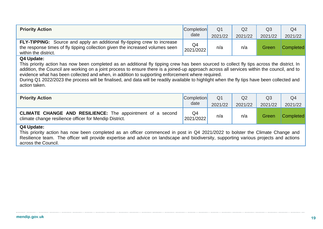| <b>Priority Action</b>                                                                                                                                                                                                                                                                                                                                                                                                                                                                                                                                                       | <b>Completion</b> | Q <sub>1</sub> | Q <sub>2</sub> | Q <sub>3</sub>            | Q4               |  |  |  |  |  |  |
|------------------------------------------------------------------------------------------------------------------------------------------------------------------------------------------------------------------------------------------------------------------------------------------------------------------------------------------------------------------------------------------------------------------------------------------------------------------------------------------------------------------------------------------------------------------------------|-------------------|----------------|----------------|---------------------------|------------------|--|--|--|--|--|--|
|                                                                                                                                                                                                                                                                                                                                                                                                                                                                                                                                                                              | date              | 2021/22        | 2021/22        | 2021/22                   | 2021/22          |  |  |  |  |  |  |
| <b>FLY-TIPPING:</b> Source and apply an additional fly-tipping crew to increase<br>the response times of fly tipping collection given the increased volumes seen<br>within the district.                                                                                                                                                                                                                                                                                                                                                                                     | Q4<br>2021/2022   | n/a            | n/a            | Green                     | <b>Completed</b> |  |  |  |  |  |  |
| Q4 Update:<br>This priority action has now been completed as an additional fly tipping crew has been sourced to collect fly tips across the district. In<br>addition, the Council are working on a joint process to ensure there is a joined-up approach across all services within the council, and to<br>evidence what has been collected and when, in addition to supporting enforcement where required.<br>During Q1 2022/2023 the process will be finalised, and data will be readily available to highlight when the fly tips have been collected and<br>action taken. |                   |                |                |                           |                  |  |  |  |  |  |  |
| <b>Priority Action</b>                                                                                                                                                                                                                                                                                                                                                                                                                                                                                                                                                       | <b>Completion</b> | Q <sub>1</sub> | Q <sub>2</sub> | Q <sub>3</sub>            | Q <sub>4</sub>   |  |  |  |  |  |  |
|                                                                                                                                                                                                                                                                                                                                                                                                                                                                                                                                                                              | date              | 2021/22        | 2021/22        | 2021/22                   | 2021/22          |  |  |  |  |  |  |
| <b>CLIMATE CHANGE AND RESILIENCE:</b> The appointment of a second<br>climate change resilience officer for Mendip District.                                                                                                                                                                                                                                                                                                                                                                                                                                                  | Q4<br>2021/2022   | n/a            | n/a            | <b>Completed</b><br>Green |                  |  |  |  |  |  |  |
| Q4 Update:<br>This musulty action has now been completed as an efficer commenced in meet in 0.4.0004/0000 to helater the Olimete Observe an                                                                                                                                                                                                                                                                                                                                                                                                                                  |                   |                |                |                           |                  |  |  |  |  |  |  |

This priority action has now been completed as an officer commenced in post in Q4 2021/2022 to bolster the Climate Change and Resilience team. The officer will provide expertise and advice on landscape and biodiversity, supporting various projects and actions across the Council.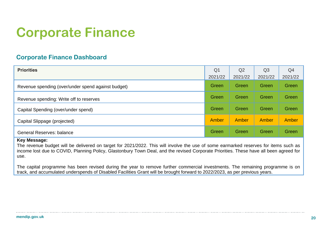# **Corporate Finance**

## **Corporate Finance Dashboard**

| <b>Priorities</b>                                  | Q <sub>1</sub> | Q <sub>2</sub> | Q <sub>3</sub> | Q4      |
|----------------------------------------------------|----------------|----------------|----------------|---------|
|                                                    | 2021/22        | 2021/22        | 2021/22        | 2021/22 |
| Revenue spending (over/under spend against budget) | Green          | <b>Green</b>   | Green          | Green   |
| Revenue spending: Write off to reserves            | Green          | Green          | Green          | Green   |
| Capital Spending (over/under spend)                | Green          | Green          | Green          | Green   |
| Capital Slippage (projected)                       | Amber          | Amber          | Amber          | Amber   |
| <b>General Reserves: balance</b>                   | Green          | Green          | Green          | Green   |

### **Key Message:**

The revenue budget will be delivered on target for 2021/2022. This will involve the use of some earmarked reserves for items such as income lost due to COVID, Planning Policy, Glastonbury Town Deal, and the revised Corporate Priorities. These have all been agreed for use.

The capital programme has been revised during the year to remove further commercial investments. The remaining programme is on track, and accumulated underspends of Disabled Facilities Grant will be brought forward to 2022/2023, as per previous years.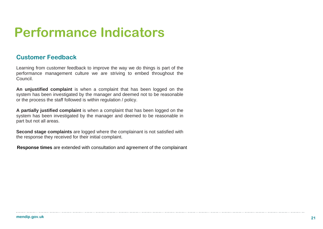## **Performance Indicators**

### **Customer Feedback**

Learning from customer feedback to improve the way we do things is part of the performance management culture we are striving to embed throughout the Council.

**An unjustified complaint** is when a complaint that has been logged on the system has been investigated by the manager and deemed not to be reasonable or the process the staff followed is within regulation / policy.

**A partially justified complaint** is when a complaint that has been logged on the system has been investigated by the manager and deemed to be reasonable in part but not all areas.

**Second stage complaints** are logged where the complainant is not satisfied with the response they received for their initial complaint.

**Response times** are extended with consultation and agreement of the complainant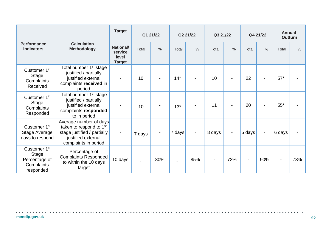|                                                                                      |                                                                                                                                            | <b>Target</b>                                         | Q1 21/22 |               | Q2 21/22                 |                | Q3 21/22 |                          |        | Q4 21/22       | <b>Annual</b><br><b>Outturn</b> |               |
|--------------------------------------------------------------------------------------|--------------------------------------------------------------------------------------------------------------------------------------------|-------------------------------------------------------|----------|---------------|--------------------------|----------------|----------|--------------------------|--------|----------------|---------------------------------|---------------|
| <b>Performance</b><br><b>Indicators</b>                                              | <b>Calculation</b><br><b>Methodology</b>                                                                                                   | <b>National/</b><br>service<br>level<br><b>Target</b> | Total    | $\frac{0}{0}$ | Total                    | $\%$           | Total    | $\frac{0}{0}$            | Total  | $\frac{0}{0}$  | Total                           | $\frac{0}{0}$ |
| Customer 1 <sup>st</sup><br>Stage<br>Complaints<br>Received                          | Total number 1 <sup>st</sup> stage<br>justified / partially<br>justified external<br>complaints received in<br>period                      |                                                       | 10       |               | $14*$                    |                | 10       |                          | 22     |                | $57*$                           |               |
| Customer 1st<br><b>Stage</b><br>Complaints<br>Responded                              | Total number 1 <sup>st</sup> stage<br>justified / partially<br>justified external<br>complaints responded<br>to in period                  |                                                       | 10       |               | $13*$                    |                | 11       |                          | 20     |                | $55*$                           |               |
| Customer 1 <sup>st</sup><br><b>Stage Average</b><br>days to respond                  | Average number of days<br>taken to respond to 1 <sup>st</sup><br>stage justified / partially<br>justified external<br>complaints in period |                                                       | 7 days   |               | 7 days                   | $\blacksquare$ | 8 days   | $\overline{\phantom{a}}$ | 5 days | $\blacksquare$ | 6 days                          |               |
| Customer 1 <sup>st</sup><br><b>Stage</b><br>Percentage of<br>Complaints<br>responded | Percentage of<br><b>Complaints Responded</b><br>to within the 10 days<br>target                                                            | 10 days                                               |          | 80%           | $\overline{\phantom{0}}$ | 85%            |          | 73%                      |        | 90%            |                                 | 78%           |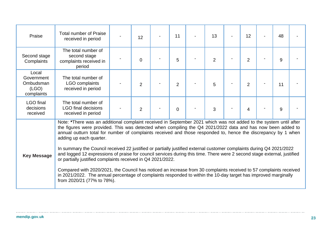| Praise                                                  | <b>Total number of Praise</b><br>received in period                                                                                                                                                                                                                                                                                                                                                                                                                                                                                                                                                                                                                                                                                                                                                                                                                                                                                                                     | 12             | 11             | 13             | 12             | 48 |  |
|---------------------------------------------------------|-------------------------------------------------------------------------------------------------------------------------------------------------------------------------------------------------------------------------------------------------------------------------------------------------------------------------------------------------------------------------------------------------------------------------------------------------------------------------------------------------------------------------------------------------------------------------------------------------------------------------------------------------------------------------------------------------------------------------------------------------------------------------------------------------------------------------------------------------------------------------------------------------------------------------------------------------------------------------|----------------|----------------|----------------|----------------|----|--|
| Second stage<br>Complaints                              | The total number of<br>second stage<br>complaints received in<br>period                                                                                                                                                                                                                                                                                                                                                                                                                                                                                                                                                                                                                                                                                                                                                                                                                                                                                                 | 0              | 5              | $\overline{2}$ | $\overline{2}$ | 9  |  |
| Local<br>Government<br>Ombudsman<br>(LGO)<br>complaints | The total number of<br>LGO complaints<br>received in period                                                                                                                                                                                                                                                                                                                                                                                                                                                                                                                                                                                                                                                                                                                                                                                                                                                                                                             | $\overline{2}$ | $\overline{2}$ | 5              | $\overline{2}$ | 11 |  |
| <b>LGO</b> final<br>decisions<br>received               | The total number of<br><b>LGO</b> final decisions<br>received in period                                                                                                                                                                                                                                                                                                                                                                                                                                                                                                                                                                                                                                                                                                                                                                                                                                                                                                 | $\overline{2}$ | $\overline{0}$ | 3              | 4              | 9  |  |
| <b>Key Message</b>                                      | Note: *There was an additional complaint received in September 2021 which was not added to the system until after<br>the figures were provided. This was detected when compiling the Q4 2021/2022 data and has now been added to<br>annual outturn total for number of complaints received and those responded to, hence the discrepancy by 1 when<br>adding up each quarter.<br>In summary the Council received 22 justified or partially justified external customer complaints during Q4 2021/2022<br>and logged 12 expressions of praise for council services during this time. There were 2 second stage external, justified<br>or partially justified complaints received in Q4 2021/2022.<br>Compared with 2020/2021, the Council has noticed an increase from 30 complaints received to 57 complaints received<br>in 2021/2022. The annual percentage of complaints responded to within the 10-day target has improved marginally<br>from 2020/21 (77% to 78%). |                |                |                |                |    |  |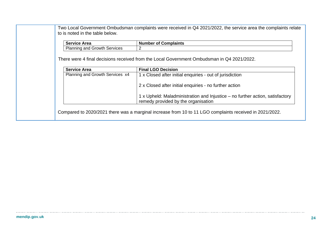| <b>Service Area</b>                 | <b>Number of Complaints</b>                                                   |
|-------------------------------------|-------------------------------------------------------------------------------|
| <b>Planning and Growth Services</b> | 2                                                                             |
| <b>Service Area</b>                 | <b>Final LGO Decision</b>                                                     |
| Planning and Growth Services x4     | 1 x Closed after initial enquiries - out of jurisdiction                      |
|                                     |                                                                               |
|                                     |                                                                               |
|                                     | 2 x Closed after initial enquiries - no further action                        |
|                                     | 1 x Upheld: Maladministration and Injustice – no further action, satisfactory |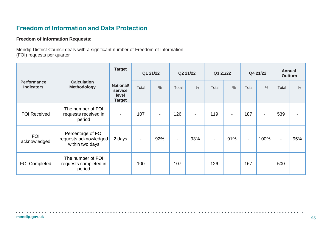## **Freedom of Information and Data Protection**

### **Freedom of Information Requests:**

Mendip District Council deals with a significant number of Freedom of Information (FOI) requests per quarter

|                                         |                                                               | <b>Target</b>                                         | Q1 21/22       |                | Q2 21/22                 |                | Q3 21/22 |                |                | Q4 21/22       | <b>Annual</b>  | <b>Outturn</b> |
|-----------------------------------------|---------------------------------------------------------------|-------------------------------------------------------|----------------|----------------|--------------------------|----------------|----------|----------------|----------------|----------------|----------------|----------------|
| <b>Performance</b><br><b>Indicators</b> | <b>Calculation</b><br><b>Methodology</b>                      | <b>National/</b><br>service<br>level<br><b>Target</b> | Total          | $\frac{0}{0}$  | Total                    | $\frac{0}{0}$  | Total    | %              | Total          | $\%$           | Total          | $\%$           |
| <b>FOI Received</b>                     | The number of FOI<br>requests received in<br>period           | $\blacksquare$                                        | 107            | $\blacksquare$ | 126                      | $\blacksquare$ | 119      | $\blacksquare$ | 187            | $\blacksquare$ | 539            |                |
| <b>FOI</b><br>acknowledged              | Percentage of FOI<br>requests acknowledged<br>within two days | 2 days                                                | $\blacksquare$ | 92%            | $\overline{\phantom{a}}$ | 93%            |          | 91%            | $\blacksquare$ | 100%           | $\blacksquare$ | 95%            |
| <b>FOI Completed</b>                    | The number of FOI<br>requests completed in<br>period          | $\blacksquare$                                        | 100            |                | 107                      | $\blacksquare$ | 126      | $\blacksquare$ | 167            | $\blacksquare$ | 500            |                |

. . . . . . . .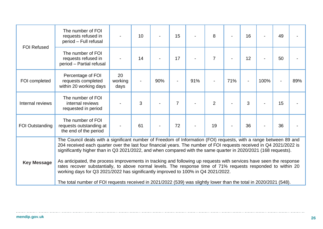| <b>FOI Refused</b>     | The number of FOI<br>requests refused in<br>period - Full refusal                                                                                                                                                                                                                                                                                            |                       | 10 |     | 15             |     | 8              |     | 16             |      | 49 |     |
|------------------------|--------------------------------------------------------------------------------------------------------------------------------------------------------------------------------------------------------------------------------------------------------------------------------------------------------------------------------------------------------------|-----------------------|----|-----|----------------|-----|----------------|-----|----------------|------|----|-----|
|                        | The number of FOI<br>requests refused in<br>period - Partial refusal                                                                                                                                                                                                                                                                                         |                       | 14 |     | 17             |     | $\overline{7}$ |     | 12             |      | 50 |     |
| FOI completed          | Percentage of FOI<br>requests completed<br>within 20 working days                                                                                                                                                                                                                                                                                            | 20<br>working<br>days |    | 90% |                | 91% |                | 71% | $\overline{a}$ | 100% |    | 89% |
| Internal reviews       | The number of FOI<br>internal reviews<br>requested in period                                                                                                                                                                                                                                                                                                 |                       | 3  |     | $\overline{7}$ |     | $\overline{2}$ |     | 3              |      | 15 |     |
| <b>FOI Outstanding</b> | The number of FOI<br>requests outstanding at<br>the end of the period                                                                                                                                                                                                                                                                                        |                       | 61 |     | 72             |     | 19             |     | 36             |      | 36 |     |
|                        | The Council deals with a significant number of Freedom of Information (FOI) requests, with a range between 89 and<br>204 received each quarter over the last four financial years. The number of FOI requests received in Q4 2021/2022 is<br>significantly higher than in Q3 2021/2022, and when compared with the same quarter in 2020/2021 (168 requests). |                       |    |     |                |     |                |     |                |      |    |     |
| <b>Key Message</b>     | As anticipated, the process improvements in tracking and following up requests with services have seen the response<br>rates recover substantially, to above normal levels. The response time of 71% requests responded to within 20<br>working days for Q3 2021/2022 has significantly improved to 100% in Q4 2021/2022.                                    |                       |    |     |                |     |                |     |                |      |    |     |
|                        | The total number of FOI requests received in 2021/2022 (539) was slightly lower than the total in 2020/2021 (548).                                                                                                                                                                                                                                           |                       |    |     |                |     |                |     |                |      |    |     |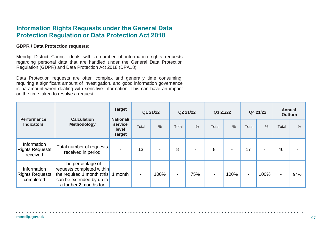## **Information Rights Requests under the General Data Protection Regulation or Data Protection Act 2018**

### **GDPR / Data Protection requests:**

Mendip District Council deals with a number of information rights requests regarding personal data that are handled under the General Data Protection Regulation (GDPR) and Data Protection Act 2018 (DPA18).

Data Protection requests are often complex and generally time consuming, requiring a significant amount of investigation, and good information governance is paramount when dealing with sensitive information. This can have an impact on the time taken to resolve a request.

| <b>Performance</b>                                 | <b>Calculation</b>                                                                                                                 | <b>Target</b><br><b>National/</b> | Q1 21/22       |      | Q2 21/22                 |      | Q3 21/22 |                          | Q4 21/22       |                | <b>Annual</b><br><b>Outturn</b> |                          |
|----------------------------------------------------|------------------------------------------------------------------------------------------------------------------------------------|-----------------------------------|----------------|------|--------------------------|------|----------|--------------------------|----------------|----------------|---------------------------------|--------------------------|
| <b>Indicators</b>                                  | <b>Methodology</b>                                                                                                                 | service<br>level<br><b>Target</b> | Total          | $\%$ | Total                    | $\%$ | Total    | $\%$                     | Total          | $\%$           | Total                           | $\%$                     |
| Information<br><b>Rights Requests</b><br>received  | Total number of requests<br>received in period                                                                                     |                                   | 13             |      | 8                        |      | 8        | $\overline{\phantom{0}}$ | 17             | $\blacksquare$ | 46                              | $\overline{\phantom{0}}$ |
| Information<br><b>Rights Requests</b><br>completed | The percentage of<br>requests completed within<br>the required 1 month (this<br>can be extended by up to<br>a further 2 months for | 1 month                           | $\blacksquare$ | 100% | $\overline{\phantom{a}}$ | 75%  |          | 100%                     | $\blacksquare$ | 100%           | $\overline{\phantom{0}}$        | 94%                      |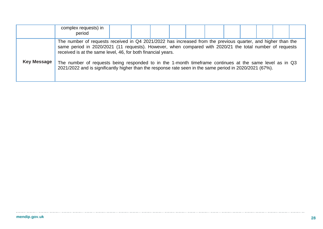|                    | complex requests) in<br>period                                                                                                                                                                                                                                                                                                                                                                                                                                                                                  |  |  |  |  |  |  |
|--------------------|-----------------------------------------------------------------------------------------------------------------------------------------------------------------------------------------------------------------------------------------------------------------------------------------------------------------------------------------------------------------------------------------------------------------------------------------------------------------------------------------------------------------|--|--|--|--|--|--|
| <b>Key Message</b> | The number of requests received in Q4 2021/2022 has increased from the previous quarter, and higher than the<br>same period in 2020/2021 (11 requests). However, when compared with 2020/21 the total number of requests<br>received is at the same level, 46, for both financial years.<br>The number of requests being responded to in the 1-month timeframe continues at the same level as in Q3<br>2021/2022 and is significantly higher than the response rate seen in the same period in 2020/2021 (67%). |  |  |  |  |  |  |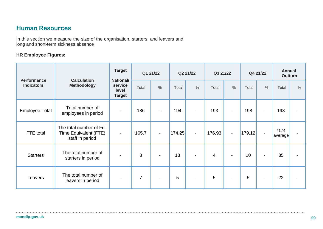## **Human Resources**

In this section we measure the size of the organisation, starters, and leavers and long and short-term sickness absence

### **HR Employee Figures:**

| <b>Performance</b>    | <b>Calculation</b><br><b>Methodology</b>                             | <b>Target</b><br><b>National/</b> |                | Q1 21/22       |        | Q2 21/22       |                | Q3 21/22                 |        | Q4 21/22       |                   | <b>Annual</b><br><b>Outturn</b> |  |
|-----------------------|----------------------------------------------------------------------|-----------------------------------|----------------|----------------|--------|----------------|----------------|--------------------------|--------|----------------|-------------------|---------------------------------|--|
| <b>Indicators</b>     |                                                                      | service<br>level<br><b>Target</b> | Total          | $\frac{0}{0}$  | Total  | $\frac{0}{0}$  | Total          | $\frac{0}{0}$            | Total  | $\frac{0}{0}$  | Total             | %                               |  |
| <b>Employee Total</b> | Total number of<br>employees in period                               |                                   | 186            |                | 194    | $\blacksquare$ | 193            | $\overline{\phantom{0}}$ | 198    | $\blacksquare$ | 198               | $\overline{\phantom{a}}$        |  |
| FTE total             | The total number of Full<br>Time Equivalent (FTE)<br>staff in period | $\sim$                            | 165.7          | $\blacksquare$ | 174.25 | $\blacksquare$ | 176.93         | $\overline{\phantom{a}}$ | 179.12 |                | $*174$<br>average | $\qquad \qquad \blacksquare$    |  |
| <b>Starters</b>       | The total number of<br>starters in period                            |                                   | 8              |                | 13     | $\blacksquare$ | $\overline{4}$ | $\overline{\phantom{a}}$ | 10     |                | 35                | $\blacksquare$                  |  |
| Leavers               | The total number of<br>leavers in period                             |                                   | $\overline{7}$ | $\blacksquare$ | 5      |                | 5              | $\blacksquare$           | 5      | $\blacksquare$ | 22                | $\blacksquare$                  |  |

 $\cdots$ 

. . . . . . . . . .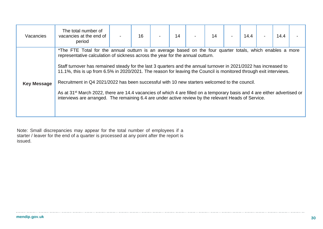| Vacancies          | The total number of<br>vacancies at the end of<br>period                                                                                                                                                                                                                                                                                                                                                                                                                                                                                                                                                                                                                                                                                                                                 | 16 | 14 | 14 | 14.4 | 14.4 |  |
|--------------------|------------------------------------------------------------------------------------------------------------------------------------------------------------------------------------------------------------------------------------------------------------------------------------------------------------------------------------------------------------------------------------------------------------------------------------------------------------------------------------------------------------------------------------------------------------------------------------------------------------------------------------------------------------------------------------------------------------------------------------------------------------------------------------------|----|----|----|------|------|--|
| <b>Key Message</b> | *The FTE Total for the annual outturn is an average based on the four quarter totals, which enables a more<br>representative calculation of sickness across the year for the annual outturn.<br>Staff turnover has remained steady for the last 3 quarters and the annual turnover in 2021/2022 has increased to<br>11.1%, this is up from 6.5% in 2020/2021. The reason for leaving the Council is monitored through exit interviews.<br>Recruitment in Q4 2021/2022 has been successful with 10 new starters welcomed to the council.<br>As at 31 <sup>st</sup> March 2022, there are 14.4 vacancies of which 4 are filled on a temporary basis and 4 are either advertised or<br>interviews are arranged. The remaining 6.4 are under active review by the relevant Heads of Service. |    |    |    |      |      |  |

Note: Small discrepancies may appear for the total number of employees if a starter / leaver for the end of a quarter is processed at any point after the report is issued.

 $\cdots$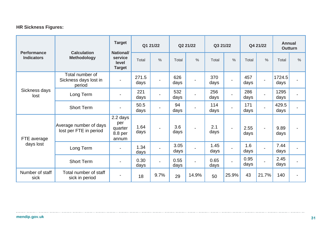## **HR Sickness Figures:**

|                                         | <b>Calculation</b>                                 | <b>Target</b><br><b>National/</b>              | Q1 21/22      |               | Q2 21/22     |               | Q3 21/22     |                          | Q4 21/22     |                          | <b>Annual</b><br><b>Outturn</b> |                          |
|-----------------------------------------|----------------------------------------------------|------------------------------------------------|---------------|---------------|--------------|---------------|--------------|--------------------------|--------------|--------------------------|---------------------------------|--------------------------|
| <b>Performance</b><br><b>Indicators</b> | <b>Methodology</b>                                 | service<br>level<br><b>Target</b>              | Total         | $\frac{0}{0}$ | Total        | $\frac{0}{0}$ | Total        | $\frac{0}{0}$            | Total        | $\frac{0}{0}$            | Total                           | $\frac{0}{0}$            |
|                                         | Total number of<br>Sickness days lost in<br>period |                                                | 271.5<br>days |               | 626<br>days  |               | 370<br>days  |                          | 457<br>days  | $\blacksquare$           | 1724.5<br>days                  | -                        |
| Sickness days<br>lost                   | Long Term                                          |                                                | 221<br>days   |               | 532<br>days  |               | 256<br>days  |                          | 286<br>days  | $\blacksquare$           | 1295<br>days                    | -                        |
|                                         | <b>Short Term</b>                                  |                                                | 50.5<br>days  |               | 94<br>days   |               | 114<br>days  |                          | 171<br>days  | $\blacksquare$           | 429.5<br>days                   | -                        |
| FTE average                             | Average number of days<br>lost per FTE in period   | 2.2 days<br>per<br>quarter<br>8.8 per<br>annum | 1.64<br>days  |               | 3.6<br>days  |               | 2.1<br>days  | $\overline{\phantom{0}}$ | 2.55<br>days | $\blacksquare$           | 9.89<br>days                    | -                        |
| days lost                               | Long Term                                          |                                                | 1.34<br>days  |               | 3.05<br>days |               | 1.45<br>days |                          | 1.6<br>days  | $\blacksquare$           | 7.44<br>days                    | $\overline{\phantom{0}}$ |
|                                         | <b>Short Term</b>                                  |                                                | 0.30<br>days  |               | 0.55<br>days |               | 0.65<br>days |                          | 0.95<br>days | $\overline{\phantom{0}}$ | 2.45<br>days                    | $\overline{\phantom{0}}$ |
| Number of staff<br>sick                 | Total number of staff<br>sick in period            |                                                | 18            | 9.7%          | 29           | 14.9%         | 50           | 25.9%                    | 43           | 21.7%                    | 140                             | -                        |

. . . . . . . . . . . . .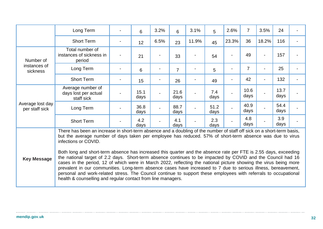|                                    | Long Term                                                                                                                                                                                                                                                                                                                                                                                                                                                                                                                                                                                                                                                                                                                                                                                                                                                                                                                  |  | 6            | 3.2% | 6              | 3.1%  | 5            | 2.6%  | $\overline{7}$ | 3.5%                     | 24           |                |
|------------------------------------|----------------------------------------------------------------------------------------------------------------------------------------------------------------------------------------------------------------------------------------------------------------------------------------------------------------------------------------------------------------------------------------------------------------------------------------------------------------------------------------------------------------------------------------------------------------------------------------------------------------------------------------------------------------------------------------------------------------------------------------------------------------------------------------------------------------------------------------------------------------------------------------------------------------------------|--|--------------|------|----------------|-------|--------------|-------|----------------|--------------------------|--------------|----------------|
|                                    | <b>Short Term</b>                                                                                                                                                                                                                                                                                                                                                                                                                                                                                                                                                                                                                                                                                                                                                                                                                                                                                                          |  | 12           | 6.5% | 23             | 11.9% | 45           | 23.3% | 36             | 18.2%                    | 116          |                |
| Number of                          | Total number of<br>instances of sickness in<br>period                                                                                                                                                                                                                                                                                                                                                                                                                                                                                                                                                                                                                                                                                                                                                                                                                                                                      |  | 21           |      | 33             |       | 54           |       | 49             | $\blacksquare$           | 157          |                |
| instances of<br>sickness           | Long Term                                                                                                                                                                                                                                                                                                                                                                                                                                                                                                                                                                                                                                                                                                                                                                                                                                                                                                                  |  | 6            |      | $\overline{7}$ |       | 5            |       | $\overline{7}$ | $\blacksquare$           | 25           | $\blacksquare$ |
|                                    | <b>Short Term</b>                                                                                                                                                                                                                                                                                                                                                                                                                                                                                                                                                                                                                                                                                                                                                                                                                                                                                                          |  | 15           |      | 26             |       | 49           |       | 42             | $\overline{\phantom{a}}$ | 132          |                |
|                                    | Average number of<br>days lost per actual<br>staff sick                                                                                                                                                                                                                                                                                                                                                                                                                                                                                                                                                                                                                                                                                                                                                                                                                                                                    |  | 15.1<br>days |      | 21.6<br>days   |       | 7.4<br>days  |       | 10.6<br>days   |                          | 13.7<br>days |                |
| Average lost day<br>per staff sick | Long Term                                                                                                                                                                                                                                                                                                                                                                                                                                                                                                                                                                                                                                                                                                                                                                                                                                                                                                                  |  | 36.8<br>days |      | 88.7<br>days   |       | 51.2<br>days |       | 40.9<br>days   |                          | 54.4<br>days |                |
|                                    | <b>Short Term</b>                                                                                                                                                                                                                                                                                                                                                                                                                                                                                                                                                                                                                                                                                                                                                                                                                                                                                                          |  | 4.2<br>days  |      | 4.1<br>days    |       | 2.3<br>days  |       | 4.8<br>days    |                          | 3.9<br>days  |                |
| <b>Key Message</b>                 | There has been an increase in short-term absence and a doubling of the number of staff off sick on a short-term basis,<br>but the average number of days taken per employee has reduced. 57% of short-term absence was due to virus<br>infections or COVID.<br>Both long and short-term absence has increased this quarter and the absence rate per FTE is 2.55 days, exceeding<br>the national target of 2.2 days. Short-term absence continues to be impacted by COVID and the Council had 16<br>cases in the period, 12 of which were in March 2022, reflecting the national picture showing the virus being more<br>prevalent in our communities. Long-term absence cases have increased to 7 due to serious illness, bereavement,<br>personal and work-related stress. The Council continue to support these employees with referrals to occupational<br>health & counselling and regular contact from line managers. |  |              |      |                |       |              |       |                |                          |              |                |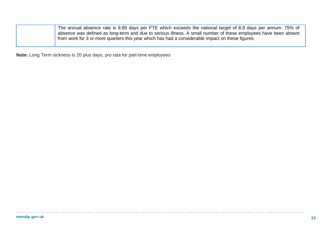| The annual absence rate is 9.89 days per FTE which exceeds the national target of 8.8 days per annum. 75% of    |
|-----------------------------------------------------------------------------------------------------------------|
| absence was defined as long-term and due to serious illness. A small number of these employees have been absent |
| from work for 3 or more quarters this year which has had a considerable impact on these figures.                |

**Note:** Long Term sickness is 20 plus days, pro rata for part-time employees

 $\ldots$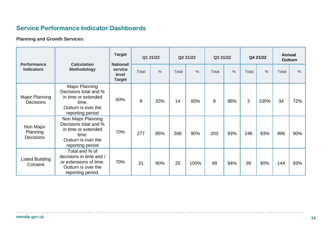## **Service Performance Indicator Dashboards**

**Planning and Growth Services:**

|                                           | <b>Calculation</b>                                                                                                     | <b>Target</b><br><b>National/</b> |       | Q1 21/22 |       | Q2 21/22      |       | Q3 21/22      |       | Q4 21/22      |       | <b>Annual</b><br><b>Outturn</b> |
|-------------------------------------------|------------------------------------------------------------------------------------------------------------------------|-----------------------------------|-------|----------|-------|---------------|-------|---------------|-------|---------------|-------|---------------------------------|
| <b>Performance</b><br><b>Indicators</b>   | <b>Methodology</b>                                                                                                     | service<br>level<br><b>Target</b> | Total | $\%$     | Total | $\frac{0}{0}$ | Total | $\frac{0}{0}$ | Total | $\frac{0}{0}$ | Total | $\frac{0}{0}$                   |
| Major Planning<br><b>Decisions</b>        | Major Planning<br>Decisions total and %<br>in time or extended<br>time.<br>Outturn is over the<br>reporting period     | 60%                               | $9\,$ | 33%      | 14    | 93%           | 8     | 88%           | 3     | 100%          | 34    | 72%                             |
| Non Major<br>Planning<br><b>Decisions</b> | Non Major Planning<br>Decisions total and %<br>in time or extended<br>time.<br>Outturn is over the<br>reporting period | 70%                               | 277   | 85%      | 268   | 90%           | 203   | 93%           | 248   | 93%           | 996   | 90%                             |
| Listed Building<br>Consent                | Total and % of<br>decisions in time and /<br>or extensions of time.<br>Outturn is over the<br>reporting period.        | 70%                               | 31    | 90%      | 25    | 100%          | 49    | 94%           | 39    | 90%           | 144   | 93%                             |

 $\cdots$ 

. . . . . . . . . . . . . . . . . . .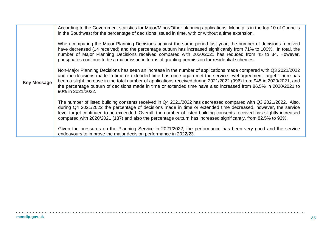|                    | According to the Government statistics for Major/Minor/Other planning applications, Mendip is in the top 10 of Councils<br>in the Southwest for the percentage of decisions issued in time, with or without a time extension.<br>When comparing the Major Planning Decisions against the same period last year, the number of decisions received<br>have decreased (14 received) and the percentage outturn has increased significantly from 71% to 100%. In total, the<br>number of Major Planning Decisions received compared with 2020/2021 has reduced from 45 to 34. However,<br>phosphates continue to be a major issue in terms of granting permission for residential schemes. |
|--------------------|----------------------------------------------------------------------------------------------------------------------------------------------------------------------------------------------------------------------------------------------------------------------------------------------------------------------------------------------------------------------------------------------------------------------------------------------------------------------------------------------------------------------------------------------------------------------------------------------------------------------------------------------------------------------------------------|
| <b>Key Message</b> | Non-Major Planning Decisions has seen an increase in the number of applications made compared with Q3 2021/2022<br>and the decisions made in time or extended time has once again met the service level agreement target. There has<br>been a slight increase in the total number of applications received during 2021/2022 (996) from 945 in 2020/2021, and<br>the percentage outturn of decisions made in time or extended time have also increased from 86.5% in 2020/2021 to<br>90% in 2021/2022.                                                                                                                                                                                  |
|                    | The number of listed building consents received in Q4 2021/2022 has decreased compared with Q3 2021/2022. Also,<br>during Q4 2021/2022 the percentage of decisions made in time or extended time decreased, however, the service<br>level target continued to be exceeded. Overall, the number of listed building consents received has slightly increased<br>compared with 2020/2021 (137) and also the percentage outturn has increased significantly, from 82.5% to 93%.                                                                                                                                                                                                            |
|                    | Given the pressures on the Planning Service in 2021/2022, the performance has been very good and the service<br>endeavours to improve the major decision performance in 2022/23.                                                                                                                                                                                                                                                                                                                                                                                                                                                                                                       |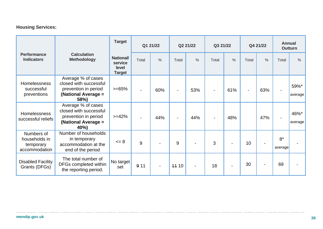## **Housing Services:**

|                                                           |                                                                                                     | <b>Target</b><br>Q1 21/22                             |       | Q2 21/22      |                          | Q3 21/22      |       | Q4 21/22 |                | <b>Annual</b><br><b>Outturn</b> |                 |                 |
|-----------------------------------------------------------|-----------------------------------------------------------------------------------------------------|-------------------------------------------------------|-------|---------------|--------------------------|---------------|-------|----------|----------------|---------------------------------|-----------------|-----------------|
| <b>Performance</b><br><b>Indicators</b>                   | <b>Calculation</b><br><b>Methodology</b>                                                            | <b>National/</b><br>service<br>level<br><b>Target</b> | Total | $\frac{0}{0}$ | Total                    | $\frac{0}{0}$ | Total | $\%$     | Total          | $\frac{0}{0}$                   | Total           | $\frac{0}{0}$   |
| <b>Homelessness</b><br>successful<br>preventions          | Average % of cases<br>closed with successful<br>prevention in period<br>(National Average =<br>58%) | $>= 65%$                                              |       | 60%           | $\blacksquare$           | 53%           |       | 61%      | $\blacksquare$ | 63%                             |                 | 59%*<br>average |
| <b>Homelessness</b><br>successful reliefs                 | Average % of cases<br>closed with successful<br>prevention in period<br>(National Average =<br>40%) | $>=12%$                                               |       | 44%           | $\overline{\phantom{a}}$ | 44%           |       | 48%      |                | 47%                             | $\blacksquare$  | 46%*<br>average |
| Numbers of<br>households in<br>temporary<br>accommodation | Number of households<br>in temporary<br>accommodation at the<br>end of the period                   | $\leq$ 8                                              | 9     |               | 9                        |               | 3     |          | 10             |                                 | $8*$<br>average |                 |
| <b>Disabled Facility</b><br>Grants (DFGs)                 | The total number of<br>DFGs completed within<br>the reporting period.                               | No target<br>set                                      | 911   |               | 11 10                    |               | 18    |          | 30             | $\blacksquare$                  | 69              |                 |

. . . . . . . . . . . . .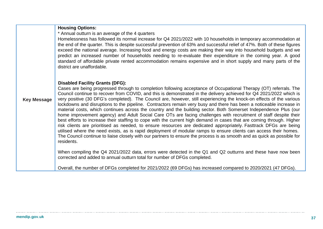|                    | <b>Housing Options:</b><br>* Annual outturn is an average of the 4 quarters<br>Homelessness has followed its normal increase for Q4 2021/2022 with 10 households in temporary accommodation at<br>the end of the quarter. This is despite successful prevention of 63% and successful relief of 47%. Both of these figures<br>exceed the national average. Increasing food and energy costs are making their way into household budgets and we<br>predict an increased number of households needing to re-evaluate their expenditure in the coming year. A good<br>standard of affordable private rented accommodation remains expensive and in short supply and many parts of the<br>district are unaffordable.                                                                                                                                                                                                                                                                                                                                                                                                                                                                                                                                                                       |
|--------------------|----------------------------------------------------------------------------------------------------------------------------------------------------------------------------------------------------------------------------------------------------------------------------------------------------------------------------------------------------------------------------------------------------------------------------------------------------------------------------------------------------------------------------------------------------------------------------------------------------------------------------------------------------------------------------------------------------------------------------------------------------------------------------------------------------------------------------------------------------------------------------------------------------------------------------------------------------------------------------------------------------------------------------------------------------------------------------------------------------------------------------------------------------------------------------------------------------------------------------------------------------------------------------------------|
| <b>Key Message</b> | <b>Disabled Facility Grants (DFG):</b><br>Cases are being progressed through to completion following acceptance of Occupational Therapy (OT) referrals. The<br>Council continue to recover from COVID, and this is demonstrated in the delivery achieved for Q4 2021/2022 which is<br>very positive (30 DFG's completed). The Council are, however, still experiencing the knock-on effects of the various<br>lockdowns and disruptions to the pipeline. Contractors remain very busy and there has been a noticeable increase in<br>material costs, which continues across the country and the building sector. Both Somerset Independence Plus (our<br>home improvement agency) and Adult Social Care OTs are facing challenges with recruitment of staff despite their<br>best efforts to increase their staffing to cope with the current high demand in cases that are coming through. Higher<br>risk clients are prioritised as needed, to ensure resources are dedicated appropriately. Fasttrack DFGs are being<br>utilised where the need exists, as is rapid deployment of modular ramps to ensure clients can access their homes.<br>The Council continue to liaise closely with our partners to ensure the process is as smooth and as quick as possible for<br>residents. |
|                    | When compiling the Q4 2021/2022 data, errors were detected in the Q1 and Q2 outturns and these have now been<br>corrected and added to annual outturn total for number of DFGs completed.                                                                                                                                                                                                                                                                                                                                                                                                                                                                                                                                                                                                                                                                                                                                                                                                                                                                                                                                                                                                                                                                                              |
|                    | Overall, the number of DFGs completed for 2021/2022 (69 DFGs) has increased compared to 2020/2021 (47 DFGs).                                                                                                                                                                                                                                                                                                                                                                                                                                                                                                                                                                                                                                                                                                                                                                                                                                                                                                                                                                                                                                                                                                                                                                           |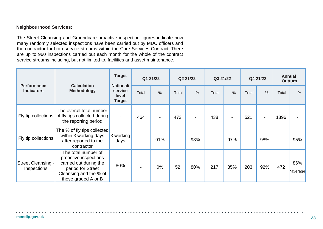### **Neighbourhood Services:**

The Street Cleansing and Groundcare proactive inspection figures indicate how many randomly selected inspections have been carried out by MDC officers and the contractor for both service streams within the Core Services Contract. There are up to 960 inspections carried out each month for the whole of the contract service streams including, but not limited to, facilities and asset maintenance.

| <b>Performance</b>                | <b>Calculation</b><br><b>Methodology</b>                                                                                                     | <b>Target</b><br><b>National/</b> |       | Q1 21/22      |       | Q2 21/22      |       | Q3 21/22                 |       | Q4 21/22      |                | <b>Annual</b><br><b>Outturn</b> |
|-----------------------------------|----------------------------------------------------------------------------------------------------------------------------------------------|-----------------------------------|-------|---------------|-------|---------------|-------|--------------------------|-------|---------------|----------------|---------------------------------|
| <b>Indicators</b>                 |                                                                                                                                              | service<br>level<br><b>Target</b> | Total | $\frac{0}{0}$ | Total | $\frac{0}{0}$ | Total | $\frac{0}{0}$            | Total | $\frac{0}{0}$ | Total          | $\frac{0}{0}$                   |
| Fly tip collections               | The overall total number<br>of fly tips collected during<br>the reporting period                                                             |                                   | 464   |               | 473   |               | 438   | $\overline{\phantom{0}}$ | 521   | -             | 1896           |                                 |
| Fly tip collections               | The % of fly tips collected<br>within 3 working days<br>after reported to the<br>contractor                                                  | 3 working<br>days                 |       | 91%           |       | 93%           |       | 97%                      |       | 98%           | $\blacksquare$ | 95%                             |
| Street Cleansing -<br>Inspections | The total number of<br>proactive inspections<br>carried out during the<br>period for Street<br>Cleansing and the % of<br>those graded A or B | 80%                               |       | 0%            | 52    | 80%           | 217   | 85%                      | 203   | 92%           | 472            | 86%<br>*average                 |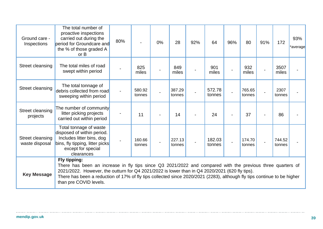| Ground care -<br>Inspections       | The total number of<br>proactive inspections<br>carried out during the<br>period for Groundcare and<br>the % of those graded A<br>or B                                                                                                                                                                                                                                            | 80% |                  | 0% | 28               | 92% | 64               | 96% | 80               | 91% | 172              | 93%<br>*average |
|------------------------------------|-----------------------------------------------------------------------------------------------------------------------------------------------------------------------------------------------------------------------------------------------------------------------------------------------------------------------------------------------------------------------------------|-----|------------------|----|------------------|-----|------------------|-----|------------------|-----|------------------|-----------------|
| Street cleansing                   | The total miles of road<br>swept within period                                                                                                                                                                                                                                                                                                                                    |     | 825<br>miles     |    | 849<br>miles     |     | 901<br>miles     |     | 932<br>miles     |     | 3507<br>miles    |                 |
| Street cleansing                   | The total tonnage of<br>debris collected from road<br>sweeping within period                                                                                                                                                                                                                                                                                                      |     | 580.92<br>tonnes |    | 387.29<br>tonnes |     | 572.78<br>tonnes |     | 765.65<br>tonnes |     | 2307<br>tonnes   |                 |
| Street cleansing<br>projects       | The number of community<br>litter picking projects<br>carried out within period                                                                                                                                                                                                                                                                                                   |     | 11               |    | 14               |     | 24               |     | 37               |     | 86               |                 |
| Street cleansing<br>waste disposal | Total tonnage of waste<br>disposed of within period.<br>Includes litter bins, dog<br>bins, fly tipping, litter picks<br>except for special<br>clearances                                                                                                                                                                                                                          |     | 160.66<br>tonnes |    | 227.13<br>tonnes |     | 182.03<br>tonnes |     | 174.70<br>tonnes |     | 744.52<br>tonnes |                 |
| <b>Key Message</b>                 | Fly tipping:<br>There has been an increase in fly tips since Q3 2021/2022 and compared with the previous three quarters of<br>2021/2022. However, the outturn for Q4 2021/2022 is lower than in Q4 2020/2021 (620 fly tips).<br>There has been a reduction of 17% of fly tips collected since 2020/2021 (2283), although fly tips continue to be higher<br>than pre COVID levels. |     |                  |    |                  |     |                  |     |                  |     |                  |                 |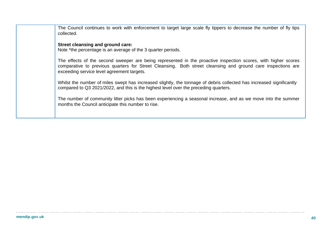The Council continues to work with enforcement to target large scale fly tippers to decrease the number of fly tips collected.

### **Street cleansing and ground care:**

Note \*the percentage is an average of the 3 quarter periods.

The effects of the second sweeper are being represented in the proactive inspection scores, with higher scores comparative to previous quarters for Street Cleansing. Both street cleansing and ground care inspections are exceeding service level agreement targets.

Whilst the number of miles swept has increased slightly, the tonnage of debris collected has increased significantly compared to Q3 2021/2022, and this is the highest level over the preceding quarters.

The number of community litter picks has been experiencing a seasonal increase, and as we move into the summer months the Council anticipate this number to rise.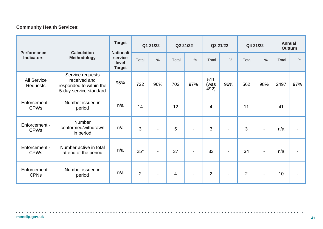### **Community Health Services:**

| <b>Performance</b><br><b>Indicators</b> |                                                                                       | <b>Target</b>                                         | Q1 21/22       |                | Q2 21/22       |                          | Q3 21/22            |                          | Q4 21/22       |                          | <b>Annual</b><br><b>Outturn</b> |                |
|-----------------------------------------|---------------------------------------------------------------------------------------|-------------------------------------------------------|----------------|----------------|----------------|--------------------------|---------------------|--------------------------|----------------|--------------------------|---------------------------------|----------------|
|                                         | <b>Calculation</b><br><b>Methodology</b>                                              | <b>National/</b><br>service<br>level<br><b>Target</b> | Total          | $\frac{0}{0}$  | Total          | $\%$                     | Total               | $\frac{0}{0}$            | Total          | $\frac{0}{0}$            | Total                           | $\frac{0}{0}$  |
| <b>All Service</b><br>Requests          | Service requests<br>received and<br>responded to within the<br>5-day service standard | 95%                                                   | 722            | 96%            | 702            | 97%                      | 511<br>(was<br>492) | 96%                      | 562            | 98%                      | 2497                            | 97%            |
| Enforcement -<br><b>CPWs</b>            | Number issued in<br>period                                                            | n/a                                                   | 14             | $\blacksquare$ | 12             | $\overline{\phantom{0}}$ | $\overline{4}$      |                          | 11             | $\blacksquare$           | 41                              |                |
| Enforcement -<br><b>CPWs</b>            | Number<br>conformed/withdrawn<br>in period                                            | n/a                                                   | 3              | $\blacksquare$ | 5              |                          | 3                   |                          | 3              | $\overline{\phantom{0}}$ | n/a                             |                |
| Enforcement -<br><b>CPWs</b>            | Number active in total<br>at end of the period                                        | n/a                                                   | $25*$          | $\blacksquare$ | 37             | $\overline{\phantom{a}}$ | 33                  | $\overline{\phantom{0}}$ | 34             | $\overline{\phantom{0}}$ | n/a                             | $\blacksquare$ |
| Enforcement -<br><b>CPNs</b>            | Number issued in<br>period                                                            | n/a                                                   | $\overline{2}$ | $\blacksquare$ | $\overline{4}$ | $\overline{\phantom{0}}$ | $\overline{2}$      |                          | $\overline{2}$ | $\blacksquare$           | 10                              | $\blacksquare$ |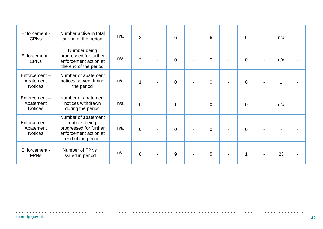| Enforcement -<br><b>CPNs</b>                | Number active in total<br>at end of the period                                                               | n/a | $\overline{2}$ | 6 | 6              | 6              | n/a         |  |
|---------------------------------------------|--------------------------------------------------------------------------------------------------------------|-----|----------------|---|----------------|----------------|-------------|--|
| Enforcement -<br><b>CPNs</b>                | Number being<br>progressed for further<br>enforcement action at<br>the end of the period                     | n/a | $\overline{2}$ | 0 | $\mathbf 0$    | $\mathbf 0$    | n/a         |  |
| Enforcement-<br>Abatement<br><b>Notices</b> | Number of abatement<br>notices served during<br>the period                                                   | n/a |                | 0 | $\overline{0}$ | $\overline{0}$ | $\mathbf 1$ |  |
| Enforcement-<br>Abatement<br><b>Notices</b> | Number of abatement<br>notices withdrawn<br>during the period                                                | n/a | $\overline{0}$ | 1 | $\overline{0}$ | $\overline{0}$ | n/a         |  |
| Enforcement-<br>Abatement<br><b>Notices</b> | Number of abatement<br>notices being<br>progressed for further<br>enforcement action at<br>end of the period | n/a | $\overline{0}$ | 0 | $\mathbf 0$    | $\Omega$       |             |  |
| Enforcement -<br><b>FPNs</b>                | Number of FPNs<br>issued in period                                                                           | n/a | 8              | 9 | 5              | 1              | 23          |  |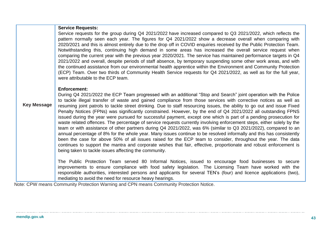|                    | <b>Service Requests:</b><br>Service requests for the group during Q4 2021/2022 have increased compared to Q3 2021/2022, which reflects the<br>pattern normally seen each year. The figures for Q4 2021/2022 show a decrease overall when comparing with<br>2020/2021 and this is almost entirely due to the drop off in COVID enquiries received by the Public Protection Team.<br>Notwithstanding this, continuing high demand in some areas has increased the overall service request when<br>comparing the current year with the previous year 2020/2021. The service has maintained performance targets in Q4<br>2021/2022 and overall, despite periods of staff absence, by temporary suspending some other work areas, and with<br>the continued assistance from our environmental health apprentice within the Environment and Community Protection<br>(ECP) Team. Over two thirds of Community Health Service requests for Q4 2021/2022, as well as for the full year,<br>were attributable to the ECP team.                                                                                                                                                                                                                                                                              |  |  |  |  |  |  |
|--------------------|---------------------------------------------------------------------------------------------------------------------------------------------------------------------------------------------------------------------------------------------------------------------------------------------------------------------------------------------------------------------------------------------------------------------------------------------------------------------------------------------------------------------------------------------------------------------------------------------------------------------------------------------------------------------------------------------------------------------------------------------------------------------------------------------------------------------------------------------------------------------------------------------------------------------------------------------------------------------------------------------------------------------------------------------------------------------------------------------------------------------------------------------------------------------------------------------------------------------------------------------------------------------------------------------------|--|--|--|--|--|--|
| <b>Key Message</b> | <b>Enforcement:</b><br>During Q4 2021/2022 the ECP Team progressed with an additional "Stop and Search" joint operation with the Police<br>to tackle illegal transfer of waste and gained compliance from those services with corrective notices as well as<br>resuming joint patrols to tackle street drinking. Due to staff resourcing issues, the ability to go out and issue Fixed<br>Penalty Notices (FPNs) was significantly constrained. However, by the end of Q4 2021/2022 all outstanding FPNS<br>issued during the year were pursued for successful payment, except one which is part of a pending prosecution for<br>waste related offences. The percentage of service requests currently involving enforcement steps, either solely by the<br>team or with assistance of other partners during Q4 2021/2022, was 6% (similar to Q3 2021/2022), compared to an<br>annual percentage of 8% for the whole year. Many issues continue to be resolved informally and this has consistently<br>been the case for above 50% of all issues raised for the ECP team to consider, throughout the year. The data<br>continues to support the mantra and corporate wishes that fair, effective, proportionate and robust enforcement is<br>being taken to tackle issues affecting the community. |  |  |  |  |  |  |
|                    | The Public Protection Team served 80 Informal Notices, issued to encourage food businesses to secure<br>improvements to ensure compliance with food safety legislation. The Licensing Team have worked with the<br>responsible authorities, interested persons and applicants for several TEN's (four) and licence applications (two),<br>mediating to avoid the need for resource heavy hearings.                                                                                                                                                                                                                                                                                                                                                                                                                                                                                                                                                                                                                                                                                                                                                                                                                                                                                                |  |  |  |  |  |  |

Note: CPW means Community Protection Warning and CPN means Community Protection Notice.

 $\ldots$ 

. . . . . . . . . . . . . . . . . . .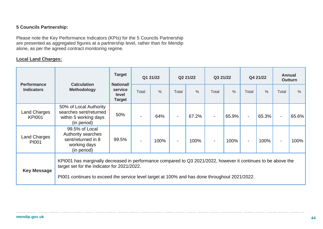### **5 Councils Partnership:**

Please note the Key Performance Indicators (KPIs) for the 5 Councils Partnership are presented as aggregated figures at a partnership level, rather than for Mendip alone, as per the agreed contract monitoring regime.

### **Local Land Charges:**

| <b>Performance</b><br><b>Indicators</b> | <b>Calculation</b>                                                                                                                                                                                                                                            | <b>Target</b><br><b>National/</b> | Q1 21/22 |               | Q2 21/22 |               | Q3 21/22 |       | Q4 21/22                 |               | <b>Annual</b><br><b>Outturn</b> |       |
|-----------------------------------------|---------------------------------------------------------------------------------------------------------------------------------------------------------------------------------------------------------------------------------------------------------------|-----------------------------------|----------|---------------|----------|---------------|----------|-------|--------------------------|---------------|---------------------------------|-------|
|                                         | <b>Methodology</b>                                                                                                                                                                                                                                            | service<br>level<br><b>Target</b> | Total    | $\frac{0}{0}$ | Total    | $\frac{0}{0}$ | Total    | $\%$  | Total                    | $\frac{0}{0}$ | Total                           | $\%$  |
| <b>Land Charges</b><br><b>KPI001</b>    | 50% of Local Authority<br>searches sent/returned<br>within 5 working days<br>(in period)                                                                                                                                                                      | 50%                               |          | 64%           |          | 67.2%         |          | 65.9% | $\overline{\phantom{a}}$ | 65.3%         | $\blacksquare$                  | 65.6% |
| <b>Land Charges</b><br>PI001            | 99.5% of Local<br>Authority searches<br>sent/returned in 8<br>working days<br>(in period)                                                                                                                                                                     | 99.5%                             |          | 100%          |          | 100%          |          | 100%  | $\blacksquare$           | 100%          | $\blacksquare$                  | 100%  |
| <b>Key Message</b>                      | KPI001 has marginally decreased in performance compared to Q3 2021/2022, however it continues to be above the<br>target set for the indicator for 2021/2022.<br>PI001 continues to exceed the service level target at 100% and has done throughout 2021/2022. |                                   |          |               |          |               |          |       |                          |               |                                 |       |

. . . . . . . . .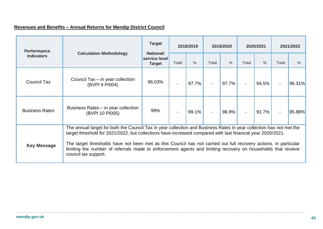## **Revenues and Benefits – Annual Returns for Mendip District Council**

| <b>Performance</b>    |                                                                                                                                                                                                                                                                                                                                                                                                                                                                                                | <b>Target</b>                                                                                                                                       | 2018/2019 |  | 2019/2020 |       | 2020/2021      |       | 2021/2022 |        |  |
|-----------------------|------------------------------------------------------------------------------------------------------------------------------------------------------------------------------------------------------------------------------------------------------------------------------------------------------------------------------------------------------------------------------------------------------------------------------------------------------------------------------------------------|-----------------------------------------------------------------------------------------------------------------------------------------------------|-----------|--|-----------|-------|----------------|-------|-----------|--------|--|
| <b>Indicators</b>     | <b>Calculation Methodology</b>                                                                                                                                                                                                                                                                                                                                                                                                                                                                 | <b>National/</b><br>service level<br>$\%$<br>Total<br>Total<br><b>Target</b><br>98.03%<br>97.7%<br>$\blacksquare$<br>99%<br>99.1%<br>$\blacksquare$ |           |  |           |       | Total          | $\%$  | Total     | $\%$   |  |
| <b>Council Tax</b>    | Council Tax – in year collection<br>(BVPI 9 PI004)                                                                                                                                                                                                                                                                                                                                                                                                                                             |                                                                                                                                                     |           |  |           | 97.7% |                | 94.5% |           | 96.31% |  |
| <b>Business Rates</b> | Business Rates – in year collection<br>(BVPI 10 PI005)                                                                                                                                                                                                                                                                                                                                                                                                                                         |                                                                                                                                                     |           |  |           | 98.9% | $\blacksquare$ | 91.7% |           | 95.88% |  |
| <b>Key Message</b>    | The annual target for both the Council Tax in year collection and Business Rates in year collection has not met the<br>target threshold for 2021/2022, but collections have increased compared with last financial year 2020/2021.<br>The target thresholds have not been met as this Council has not carried out full recovery actions, in particular<br>limiting the number of referrals made to enforcement agents and limiting recovery on households that receive<br>council tax support. |                                                                                                                                                     |           |  |           |       |                |       |           |        |  |

. . . . . . . . . . . . . .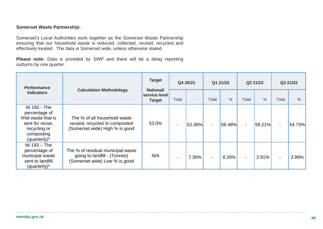### **Somerset Waste Partnership:**

Somerset's Local Authorities work together as the Somerset Waste Partnership ensuring that our household waste is reduced, collected, reused, recycled and effectively treated. The data is Somerset wide, unless otherwise stated.

**Please note:** Data is provided by SWP and there will be a delay reporting outturns by one quarter.

| <b>Performance</b><br><b>Indicators</b>                                                                              |                                                                                                    | <b>Target</b>                                      | Q4 20/21 |        | Q1 21/22                 |               | Q2 21/22       |        | Q3 21/22                 |        |
|----------------------------------------------------------------------------------------------------------------------|----------------------------------------------------------------------------------------------------|----------------------------------------------------|----------|--------|--------------------------|---------------|----------------|--------|--------------------------|--------|
|                                                                                                                      | <b>Calculation Methodology</b>                                                                     | <b>National/</b><br>service level<br><b>Target</b> | Total    |        | Total                    | $\frac{0}{0}$ | Total          | $\%$   | Total                    | $\%$   |
| NI 192 - The<br>percentage of<br>hhid waste that is<br>sent for reuse,<br>recycling or<br>composting<br>(quarterly)* | The % of all household waste<br>reused, recycled or composted<br>(Somerset wide) High % is good    | 53.0%                                              |          | 52.36% | $\overline{\phantom{a}}$ | 56.48%        | $\blacksquare$ | 58.21% | $\overline{\phantom{0}}$ | 54.73% |
| $NI$ 193 – The<br>percentage of<br>municipal waste<br>sent to landfill<br>(quarterly)*                               | The % of residual municipal waste<br>going to landfill - (Tonnes)<br>(Somerset wide) Low % is good | N/A                                                |          | 7.30%  | $\blacksquare$           | 8.26%         |                | 2.91%  |                          | 3.99%  |